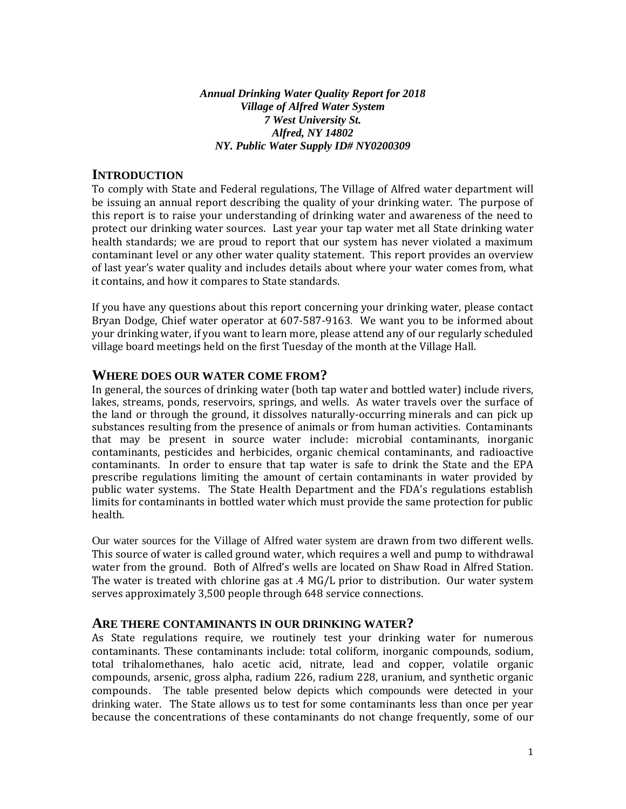*Annual Drinking Water Quality Report for 2018 Village of Alfred Water System 7 West University St. Alfred, NY 14802 NY. Public Water Supply ID# NY0200309* 

#### **INTRODUCTION**

To comply with State and Federal regulations, The Village of Alfred water department will be issuing an annual report describing the quality of your drinking water. The purpose of this report is to raise your understanding of drinking water and awareness of the need to protect our drinking water sources. Last year your tap water met all State drinking water health standards; we are proud to report that our system has never violated a maximum contaminant level or any other water quality statement. This report provides an overview of last year's water quality and includes details about where your water comes from, what it contains, and how it compares to State standards.

If you have any questions about this report concerning your drinking water, please contact Bryan Dodge, Chief water operator at 607-587-9163. We want you to be informed about your drinking water, if you want to learn more, please attend any of our regularly scheduled village board meetings held on the first Tuesday of the month at the Village Hall.

#### **WHERE DOES OUR WATER COME FROM?**

In general, the sources of drinking water (both tap water and bottled water) include rivers, lakes, streams, ponds, reservoirs, springs, and wells. As water travels over the surface of the land or through the ground, it dissolves naturally-occurring minerals and can pick up substances resulting from the presence of animals or from human activities. Contaminants that may be present in source water include: microbial contaminants, inorganic contaminants, pesticides and herbicides, organic chemical contaminants, and radioactive contaminants. In order to ensure that tap water is safe to drink the State and the EPA prescribe regulations limiting the amount of certain contaminants in water provided by public water systems. The State Health Department and the FDA's regulations establish limits for contaminants in bottled water which must provide the same protection for public health.

Our water sources for the Village of Alfred water system are drawn from two different wells. This source of water is called ground water, which requires a well and pump to withdrawal water from the ground. Both of Alfred's wells are located on Shaw Road in Alfred Station. The water is treated with chlorine gas at .4 MG/L prior to distribution. Our water system serves approximately 3,500 people through 648 service connections.

#### **ARE THERE CONTAMINANTS IN OUR DRINKING WATER?**

As State regulations require, we routinely test your drinking water for numerous contaminants. These contaminants include: total coliform, inorganic compounds, sodium, total trihalomethanes, halo acetic acid, nitrate, lead and copper, volatile organic compounds, arsenic, gross alpha, radium 226, radium 228, uranium, and synthetic organic compounds. The table presented below depicts which compounds were detected in your drinking water. The State allows us to test for some contaminants less than once per year because the concentrations of these contaminants do not change frequently, some of our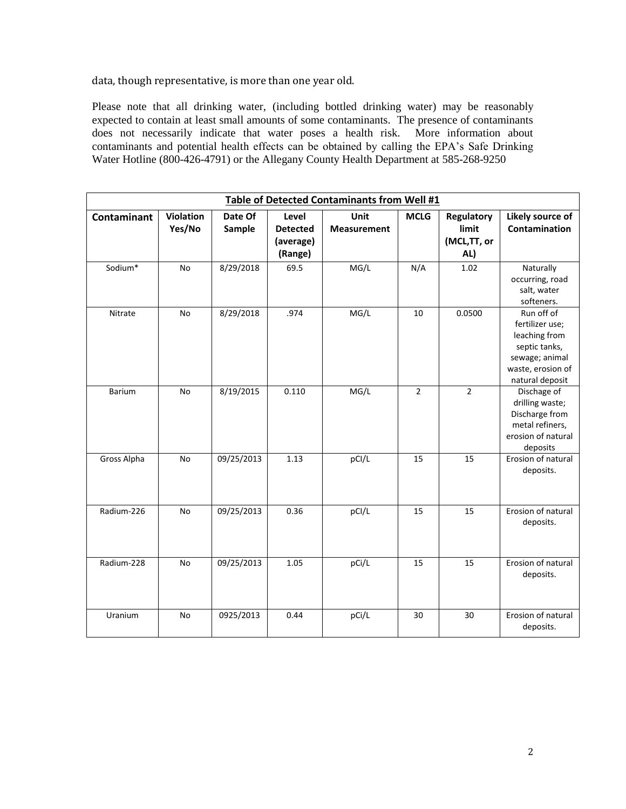data, though representative, is more than one year old.

Please note that all drinking water, (including bottled drinking water) may be reasonably expected to contain at least small amounts of some contaminants. The presence of contaminants does not necessarily indicate that water poses a health risk. More information about contaminants and potential health effects can be obtained by calling the EPA's Safe Drinking Water Hotline (800-426-4791) or the Allegany County Health Department at 585-268-9250

| Table of Detected Contaminants from Well #1 |                            |                   |                                                  |                            |                |                                                  |                                                                                                                           |  |
|---------------------------------------------|----------------------------|-------------------|--------------------------------------------------|----------------------------|----------------|--------------------------------------------------|---------------------------------------------------------------------------------------------------------------------------|--|
| <b>Contaminant</b>                          | <b>Violation</b><br>Yes/No | Date Of<br>Sample | Level<br><b>Detected</b><br>(average)<br>(Range) | Unit<br><b>Measurement</b> | <b>MCLG</b>    | <b>Regulatory</b><br>limit<br>(MCL,TT, or<br>AL) | Likely source of<br>Contamination                                                                                         |  |
| Sodium*                                     | <b>No</b>                  | 8/29/2018         | 69.5                                             | MG/L                       | N/A            | 1.02                                             | Naturally<br>occurring, road<br>salt, water<br>softeners.                                                                 |  |
| Nitrate                                     | <b>No</b>                  | 8/29/2018         | .974                                             | MG/L                       | 10             | 0.0500                                           | Run off of<br>fertilizer use;<br>leaching from<br>septic tanks,<br>sewage; animal<br>waste, erosion of<br>natural deposit |  |
| <b>Barium</b>                               | <b>No</b>                  | 8/19/2015         | 0.110                                            | MG/L                       | $\overline{2}$ | $\overline{2}$                                   | Dischage of<br>drilling waste;<br>Discharge from<br>metal refiners,<br>erosion of natural<br>deposits                     |  |
| Gross Alpha                                 | No                         | 09/25/2013        | 1.13                                             | pCI/L                      | 15             | 15                                               | Erosion of natural<br>deposits.                                                                                           |  |
| Radium-226                                  | <b>No</b>                  | 09/25/2013        | 0.36                                             | pCI/L                      | 15             | 15                                               | Erosion of natural<br>deposits.                                                                                           |  |
| Radium-228                                  | No                         | 09/25/2013        | 1.05                                             | pCi/L                      | 15             | 15                                               | Erosion of natural<br>deposits.                                                                                           |  |
| Uranium                                     | No                         | 0925/2013         | 0.44                                             | pCi/L                      | 30             | 30                                               | Erosion of natural<br>deposits.                                                                                           |  |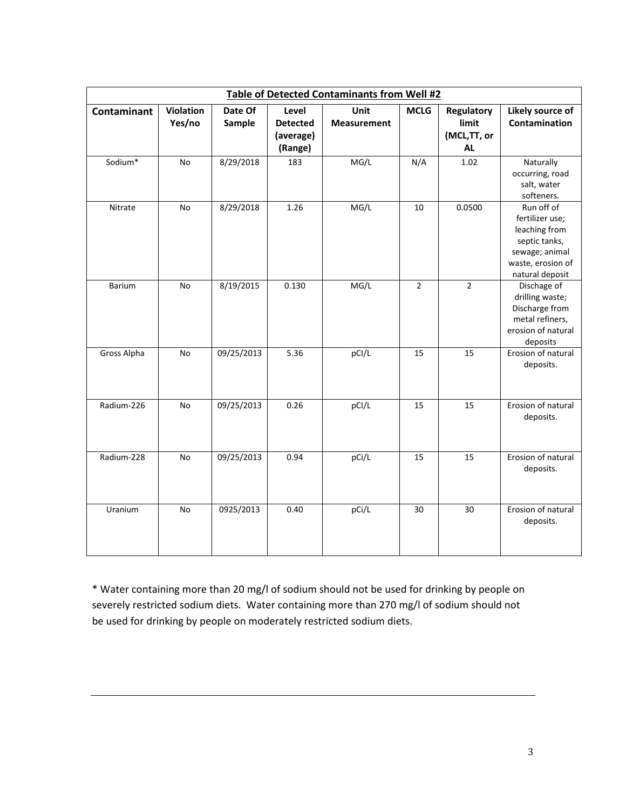| <b>Table of Detected Contaminants from Well #2</b> |                     |                   |                                                  |                            |                |                                                 |                                                                                                                           |  |
|----------------------------------------------------|---------------------|-------------------|--------------------------------------------------|----------------------------|----------------|-------------------------------------------------|---------------------------------------------------------------------------------------------------------------------------|--|
| Contaminant                                        | Violation<br>Yes/no | Date Of<br>Sample | Level<br><b>Detected</b><br>(average)<br>(Range) | Unit<br><b>Measurement</b> | <b>MCLG</b>    | <b>Regulatory</b><br>limit<br>(MCL,TT, or<br>AL | Likely source of<br>Contamination                                                                                         |  |
| Sodium*                                            | No                  | 8/29/2018         | 183                                              | MG/L                       | N/A            | 1.02                                            | Naturally<br>occurring, road<br>salt, water<br>softeners.                                                                 |  |
| Nitrate                                            | No                  | 8/29/2018         | 1.26                                             | MG/L                       | 10             | 0.0500                                          | Run off of<br>fertilizer use;<br>leaching from<br>septic tanks,<br>sewage; animal<br>waste, erosion of<br>natural deposit |  |
| Barium                                             | <b>No</b>           | 8/19/2015         | 0.130                                            | MG/L                       | $\overline{2}$ | $\overline{2}$                                  | Dischage of<br>drilling waste;<br>Discharge from<br>metal refiners,<br>erosion of natural<br>deposits                     |  |
| Gross Alpha                                        | No                  | 09/25/2013        | 5.36                                             | pCI/L                      | 15             | 15                                              | Erosion of natural<br>deposits.                                                                                           |  |
| Radium-226                                         | No                  | 09/25/2013        | 0.26                                             | pCI/L                      | 15             | 15                                              | Erosion of natural<br>deposits.                                                                                           |  |
| Radium-228                                         | No                  | 09/25/2013        | 0.94                                             | pCi/L                      | 15             | 15                                              | Erosion of natural<br>deposits.                                                                                           |  |
| Uranium                                            | No                  | 0925/2013         | 0.40                                             | pCi/L                      | 30             | 30                                              | Erosion of natural<br>deposits.                                                                                           |  |

\* Water containing more than 20 mg/l of sodium should not be used for drinking by people on severely restricted sodium diets. Water containing more than 270 mg/l of sodium should not be used for drinking by people on moderately restricted sodium diets.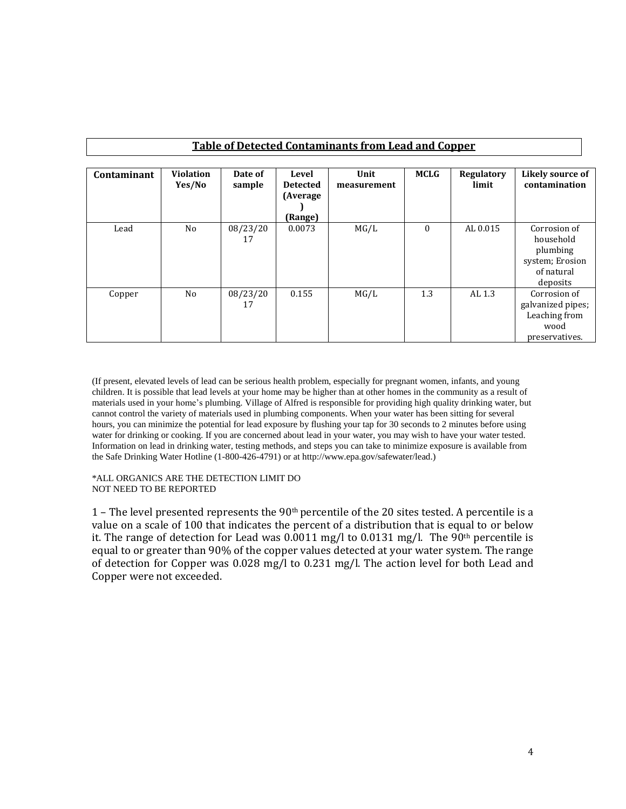| <b>Table of Detected Contaminants from Lead and Copper</b> |                            |                   |                                                  |                     |             |                     |                                                                                    |  |
|------------------------------------------------------------|----------------------------|-------------------|--------------------------------------------------|---------------------|-------------|---------------------|------------------------------------------------------------------------------------|--|
| Contaminant                                                | <b>Violation</b><br>Yes/No | Date of<br>sample | Level<br><b>Detected</b><br>(Average)<br>(Range) | Unit<br>measurement | <b>MCLG</b> | Regulatory<br>limit | Likely source of<br>contamination                                                  |  |
| Lead                                                       | No                         | 08/23/20<br>17    | 0.0073                                           | MG/L                | $\theta$    | AL 0.015            | Corrosion of<br>household<br>plumbing<br>system; Erosion<br>of natural<br>deposits |  |
| Copper                                                     | No                         | 08/23/20<br>17    | 0.155                                            | MG/L                | 1.3         | AL 1.3              | Corrosion of<br>galvanized pipes;<br>Leaching from<br>wood<br>preservatives.       |  |

(If present, elevated levels of lead can be serious health problem, especially for pregnant women, infants, and young children. It is possible that lead levels at your home may be higher than at other homes in the community as a result of materials used in your home's plumbing. Village of Alfred is responsible for providing high quality drinking water, but cannot control the variety of materials used in plumbing components. When your water has been sitting for several hours, you can minimize the potential for lead exposure by flushing your tap for 30 seconds to 2 minutes before using water for drinking or cooking. If you are concerned about lead in your water, you may wish to have your water tested. Information on lead in drinking water, testing methods, and steps you can take to minimize exposure is available from the Safe Drinking Water Hotline (1-800-426-4791) or at http://www.epa.gov/safewater/lead.)

#### \*ALL ORGANICS ARE THE DETECTION LIMIT DO NOT NEED TO BE REPORTED

1 – The level presented represents the 90th percentile of the 20 sites tested. A percentile is a value on a scale of 100 that indicates the percent of a distribution that is equal to or below it. The range of detection for Lead was  $0.0011$  mg/l to  $0.0131$  mg/l. The  $90<sup>th</sup>$  percentile is equal to or greater than 90% of the copper values detected at your water system. The range of detection for Copper was 0.028 mg/l to 0.231 mg/l. The action level for both Lead and Copper were not exceeded.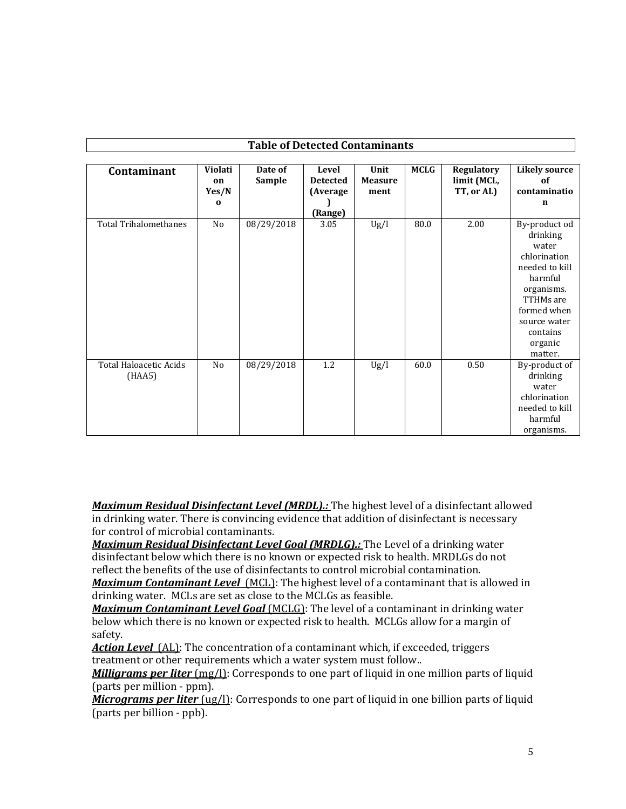| <b>Table of Detected Contaminants</b>   |                                    |                   |                                                 |                                |             |                                         |                                                                                                                                                                             |  |
|-----------------------------------------|------------------------------------|-------------------|-------------------------------------------------|--------------------------------|-------------|-----------------------------------------|-----------------------------------------------------------------------------------------------------------------------------------------------------------------------------|--|
| Contaminant                             | Violati<br>on<br>Yes/N<br>$\bf{0}$ | Date of<br>Sample | Level<br><b>Detected</b><br>(Average<br>(Range) | Unit<br><b>Measure</b><br>ment | <b>MCLG</b> | Regulatory<br>limit (MCL,<br>TT, or AL) | <b>Likely source</b><br>of<br>contaminatio<br>$\mathbf n$                                                                                                                   |  |
| <b>Total Trihalomethanes</b>            | No                                 | 08/29/2018        | 3.05                                            | Ug/l                           | 80.0        | 2.00                                    | By-product od<br>drinking<br>water<br>chlorination<br>needed to kill<br>harmful<br>organisms.<br>TTHMs are<br>formed when<br>source water<br>contains<br>organic<br>matter. |  |
| <b>Total Haloacetic Acids</b><br>(HAA5) | No                                 | 08/29/2018        | 1.2                                             | Ug/l                           | 60.0        | 0.50                                    | By-product of<br>drinking<br>water<br>chlorination<br>needed to kill<br>harmful<br>organisms.                                                                               |  |

*Maximum Residual Disinfectant Level (MRDL).:* The highest level of a disinfectant allowed in drinking water. There is convincing evidence that addition of disinfectant is necessary for control of microbial contaminants.

*Maximum Residual Disinfectant Level Goal (MRDLG).:* The Level of a drinking water disinfectant below which there is no known or expected risk to health. MRDLGs do not reflect the benefits of the use of disinfectants to control microbial contamination.

**Maximum Contaminant Level** (MCL): The highest level of a contaminant that is allowed in drinking water. MCLs are set as close to the MCLGs as feasible.

*Maximum Contaminant Level Goal* (MCLG): The level of a contaminant in drinking water below which there is no known or expected risk to health. MCLGs allow for a margin of safety.

Action Level (AL): The concentration of a contaminant which, if exceeded, triggers treatment or other requirements which a water system must follow..

*Milligrams per liter* (mg/l): Corresponds to one part of liquid in one million parts of liquid (parts per million - ppm).

*Micrograms per liter* (ug/l): Corresponds to one part of liquid in one billion parts of liquid (parts per billion - ppb).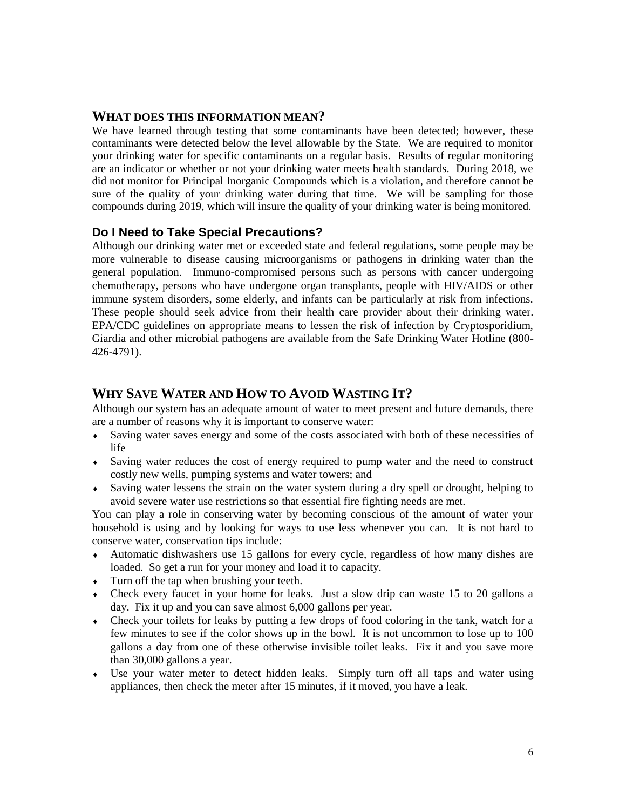### **WHAT DOES THIS INFORMATION MEAN?**

We have learned through testing that some contaminants have been detected; however, these contaminants were detected below the level allowable by the State. We are required to monitor your drinking water for specific contaminants on a regular basis. Results of regular monitoring are an indicator or whether or not your drinking water meets health standards. During 2018, we did not monitor for Principal Inorganic Compounds which is a violation, and therefore cannot be sure of the quality of your drinking water during that time. We will be sampling for those compounds during 2019, which will insure the quality of your drinking water is being monitored.

## **Do I Need to Take Special Precautions?**

Although our drinking water met or exceeded state and federal regulations, some people may be more vulnerable to disease causing microorganisms or pathogens in drinking water than the general population. Immuno-compromised persons such as persons with cancer undergoing chemotherapy, persons who have undergone organ transplants, people with HIV/AIDS or other immune system disorders, some elderly, and infants can be particularly at risk from infections. These people should seek advice from their health care provider about their drinking water. EPA/CDC guidelines on appropriate means to lessen the risk of infection by Cryptosporidium, Giardia and other microbial pathogens are available from the Safe Drinking Water Hotline (800- 426-4791).

# **WHY SAVE WATER AND HOW TO AVOID WASTING IT?**

Although our system has an adequate amount of water to meet present and future demands, there are a number of reasons why it is important to conserve water:

- Saving water saves energy and some of the costs associated with both of these necessities of life
- Saving water reduces the cost of energy required to pump water and the need to construct costly new wells, pumping systems and water towers; and
- Saving water lessens the strain on the water system during a dry spell or drought, helping to avoid severe water use restrictions so that essential fire fighting needs are met.

You can play a role in conserving water by becoming conscious of the amount of water your household is using and by looking for ways to use less whenever you can. It is not hard to conserve water, conservation tips include:

- Automatic dishwashers use 15 gallons for every cycle, regardless of how many dishes are loaded. So get a run for your money and load it to capacity.
- Turn off the tap when brushing your teeth.
- Check every faucet in your home for leaks. Just a slow drip can waste 15 to 20 gallons a day. Fix it up and you can save almost 6,000 gallons per year.
- Check your toilets for leaks by putting a few drops of food coloring in the tank, watch for a few minutes to see if the color shows up in the bowl. It is not uncommon to lose up to 100 gallons a day from one of these otherwise invisible toilet leaks. Fix it and you save more than 30,000 gallons a year.
- Use your water meter to detect hidden leaks. Simply turn off all taps and water using appliances, then check the meter after 15 minutes, if it moved, you have a leak.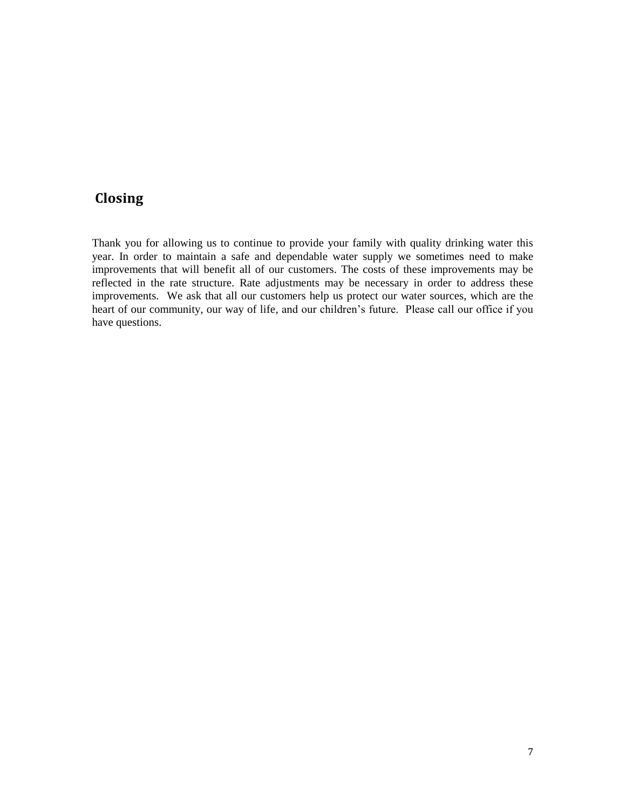# **Closing**

Thank you for allowing us to continue to provide your family with quality drinking water this year. In order to maintain a safe and dependable water supply we sometimes need to make improvements that will benefit all of our customers. The costs of these improvements may be reflected in the rate structure. Rate adjustments may be necessary in order to address these improvements. We ask that all our customers help us protect our water sources, which are the heart of our community, our way of life, and our children's future. Please call our office if you have questions.